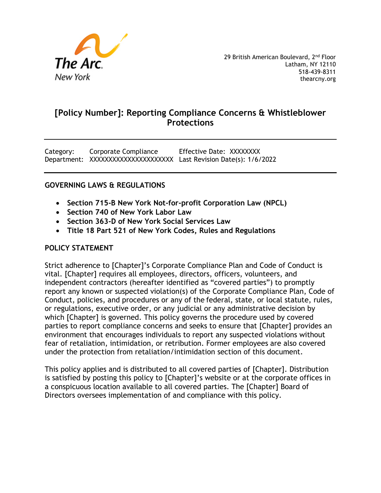

Category: Corporate Compliance Effective Date: XXXXXXXX Department: XXXXXXXXXXXXXXXXXXXXXX Last Revision Date(s): 1/6/2022

#### **GOVERNING LAWS & REGULATIONS**

- **Section 715-B New York Not-for-profit Corporation Law (NPCL)**
- **Section 740 of New York Labor Law**
- **Section 363-D of New York Social Services Law**
- **Title 18 Part 521 of New York Codes, Rules and Regulations**

#### **POLICY STATEMENT**

Strict adherence to [Chapter]'s Corporate Compliance Plan and Code of Conduct is vital. [Chapter] requires all employees, directors, officers, volunteers, and independent contractors (hereafter identified as "covered parties") to promptly report any known or suspected violation(s) of the Corporate Compliance Plan, Code of Conduct, policies, and procedures or any of the federal, state, or local statute, rules, or regulations, executive order, or any judicial or any administrative decision by which [Chapter] is governed. This policy governs the procedure used by covered parties to report compliance concerns and seeks to ensure that [Chapter] provides an environment that encourages individuals to report any suspected violations without fear of retaliation, intimidation, or retribution. Former employees are also covered under the protection from retaliation/intimidation section of this document.

This policy applies and is distributed to all covered parties of [Chapter]. Distribution is satisfied by posting this policy to [Chapter]'s website or at the corporate offices in a conspicuous location available to all covered parties. The [Chapter] Board of Directors oversees implementation of and compliance with this policy.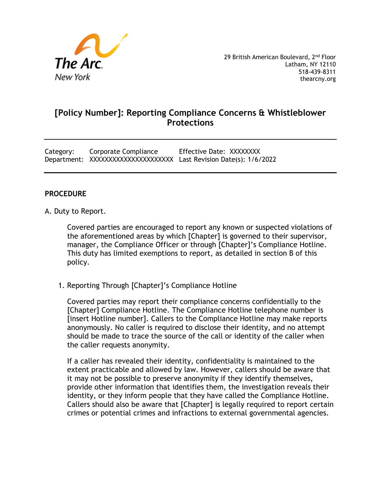

Category: Corporate Compliance Effective Date: XXXXXXXX Department: XXXXXXXXXXXXXXXXXXXXXXXXX Last Revision Date(s): 1/6/2022

#### **PROCEDURE**

A. Duty to Report.

Covered parties are encouraged to report any known or suspected violations of the aforementioned areas by which [Chapter] is governed to their supervisor, manager, the Compliance Officer or through [Chapter]'s Compliance Hotline. This duty has limited exemptions to report, as detailed in section B of this policy.

1. Reporting Through [Chapter]'s Compliance Hotline

Covered parties may report their compliance concerns confidentially to the [Chapter] Compliance Hotline. The Compliance Hotline telephone number is [insert Hotline number]. Callers to the Compliance Hotline may make reports anonymously. No caller is required to disclose their identity, and no attempt should be made to trace the source of the call or identity of the caller when the caller requests anonymity.

If a caller has revealed their identity, confidentiality is maintained to the extent practicable and allowed by law. However, callers should be aware that it may not be possible to preserve anonymity if they identify themselves, provide other information that identifies them, the investigation reveals their identity, or they inform people that they have called the Compliance Hotline. Callers should also be aware that [Chapter] is legally required to report certain crimes or potential crimes and infractions to external governmental agencies.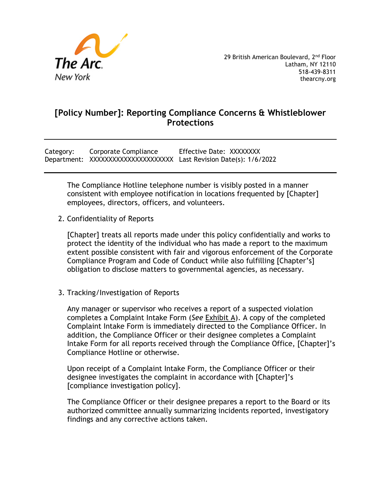

Category: Corporate Compliance Effective Date: XXXXXXXX Department: XXXXXXXXXXXXXXXXXXXXXX Last Revision Date(s): 1/6/2022

The Compliance Hotline telephone number is visibly posted in a manner consistent with employee notification in locations frequented by [Chapter] employees, directors, officers, and volunteers.

2. Confidentiality of Reports

[Chapter] treats all reports made under this policy confidentially and works to protect the identity of the individual who has made a report to the maximum extent possible consistent with fair and vigorous enforcement of the Corporate Compliance Program and Code of Conduct while also fulfilling [Chapter's] obligation to disclose matters to governmental agencies, as necessary.

3. Tracking/Investigation of Reports

Any manager or supervisor who receives a report of a suspected violation completes a Complaint Intake Form (*See* Exhibit A). A copy of the completed Complaint Intake Form is immediately directed to the Compliance Officer. In addition, the Compliance Officer or their designee completes a Complaint Intake Form for all reports received through the Compliance Office, [Chapter]'s Compliance Hotline or otherwise.

Upon receipt of a Complaint Intake Form, the Compliance Officer or their designee investigates the complaint in accordance with [Chapter]'s [compliance investigation policy].

The Compliance Officer or their designee prepares a report to the Board or its authorized committee annually summarizing incidents reported, investigatory findings and any corrective actions taken.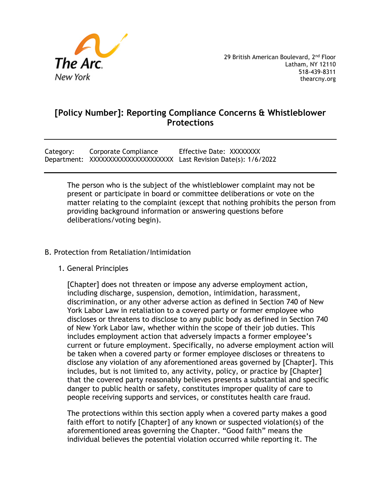

Category: Corporate Compliance Effective Date: XXXXXXXX Department: XXXXXXXXXXXXXXXXXXXXXXXXX Last Revision Date(s): 1/6/2022

The person who is the subject of the whistleblower complaint may not be present or participate in board or committee deliberations or vote on the matter relating to the complaint (except that nothing prohibits the person from providing background information or answering questions before deliberations/voting begin).

#### B. Protection from Retaliation/Intimidation

1. General Principles

[Chapter] does not threaten or impose any adverse employment action, including discharge, suspension, demotion, intimidation, harassment, discrimination, or any other adverse action as defined in Section 740 of New York Labor Law in retaliation to a covered party or former employee who discloses or threatens to disclose to any public body as defined in Section 740 of New York Labor law, whether within the scope of their job duties. This includes employment action that adversely impacts a former employee's current or future employment. Specifically, no adverse employment action will be taken when a covered party or former employee discloses or threatens to disclose any violation of any aforementioned areas governed by [Chapter]. This includes, but is not limited to, any activity, policy, or practice by [Chapter] that the covered party reasonably believes presents a substantial and specific danger to public health or safety, constitutes improper quality of care to people receiving supports and services, or constitutes health care fraud.

The protections within this section apply when a covered party makes a good faith effort to notify [Chapter] of any known or suspected violation(s) of the aforementioned areas governing the Chapter. "Good faith" means the individual believes the potential violation occurred while reporting it. The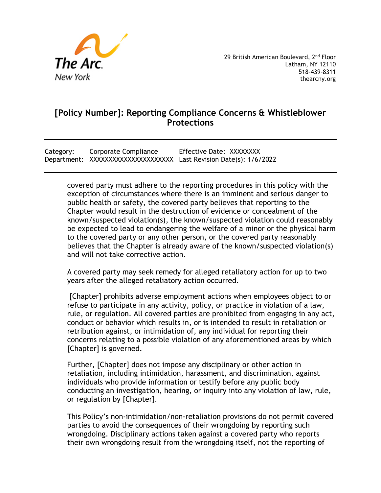

Category: Corporate Compliance Effective Date: XXXXXXXX Department: XXXXXXXXXXXXXXXXXXXXXXXXX Last Revision Date(s): 1/6/2022

covered party must adhere to the reporting procedures in this policy with the exception of circumstances where there is an imminent and serious danger to public health or safety, the covered party believes that reporting to the Chapter would result in the destruction of evidence or concealment of the known/suspected violation(s), the known/suspected violation could reasonably be expected to lead to endangering the welfare of a minor or the physical harm to the covered party or any other person, or the covered party reasonably believes that the Chapter is already aware of the known/suspected violation(s) and will not take corrective action.

A covered party may seek remedy for alleged retaliatory action for up to two years after the alleged retaliatory action occurred.

[Chapter] prohibits adverse employment actions when employees object to or refuse to participate in any activity, policy, or practice in violation of a law, rule, or regulation. All covered parties are prohibited from engaging in any act, conduct or behavior which results in, or is intended to result in retaliation or retribution against, or intimidation of, any individual for reporting their concerns relating to a possible violation of any aforementioned areas by which [Chapter] is governed.

Further, [Chapter] does not impose any disciplinary or other action in retaliation, including intimidation, harassment, and discrimination, against individuals who provide information or testify before any public body conducting an investigation, hearing, or inquiry into any violation of law, rule, or regulation by [Chapter].

This Policy's non-intimidation/non-retaliation provisions do not permit covered parties to avoid the consequences of their wrongdoing by reporting such wrongdoing. Disciplinary actions taken against a covered party who reports their own wrongdoing result from the wrongdoing itself, not the reporting of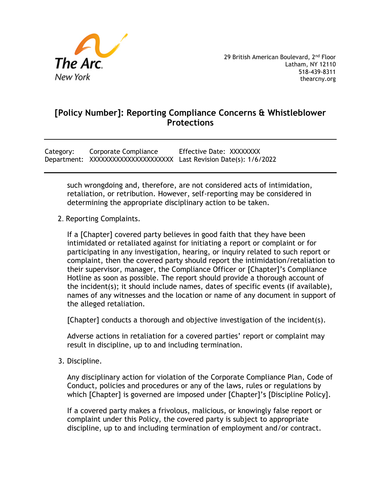

Category: Corporate Compliance Effective Date: XXXXXXXX Department: XXXXXXXXXXXXXXXXXXXXXXXXX Last Revision Date(s): 1/6/2022

such wrongdoing and, therefore, are not considered acts of intimidation, retaliation, or retribution. However, self-reporting may be considered in determining the appropriate disciplinary action to be taken.

2. Reporting Complaints.

If a [Chapter] covered party believes in good faith that they have been intimidated or retaliated against for initiating a report or complaint or for participating in any investigation, hearing, or inquiry related to such report or complaint, then the covered party should report the intimidation/retaliation to their supervisor, manager, the Compliance Officer or [Chapter]'s Compliance Hotline as soon as possible. The report should provide a thorough account of the incident(s); it should include names, dates of specific events (if available), names of any witnesses and the location or name of any document in support of the alleged retaliation.

[Chapter] conducts a thorough and objective investigation of the incident(s).

Adverse actions in retaliation for a covered parties' report or complaint may result in discipline, up to and including termination.

3. Discipline.

Any disciplinary action for violation of the Corporate Compliance Plan, Code of Conduct, policies and procedures or any of the laws, rules or regulations by which [Chapter] is governed are imposed under [Chapter]'s [Discipline Policy].

If a covered party makes a frivolous, malicious, or knowingly false report or complaint under this Policy, the covered party is subject to appropriate discipline, up to and including termination of employment and/or contract.